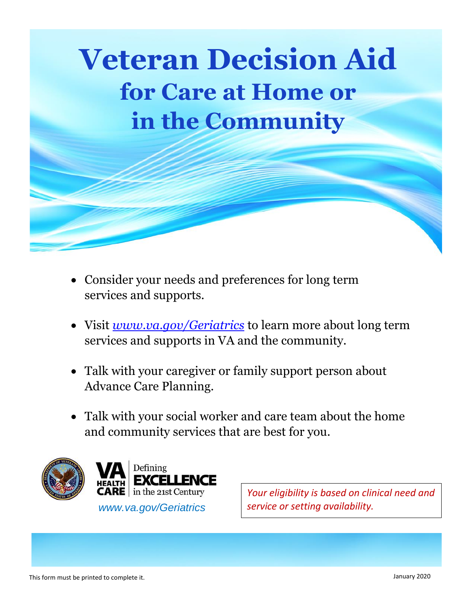# **Veteran Decision Aid for Care at Home or in the Community**

- Consider your needs and preferences for long term services and supports.
- Visit *[www.va.gov/Geriatrics](https://www.va.gov/Geriatrics)* to learn more about long term services and supports in VA and the community.
- Talk with your caregiver or family support person about Advance Care Planning.
- Talk with your social worker and care team about the home and community services that are best for you.



*Your eligibility is based on clinical need and service or setting availability.*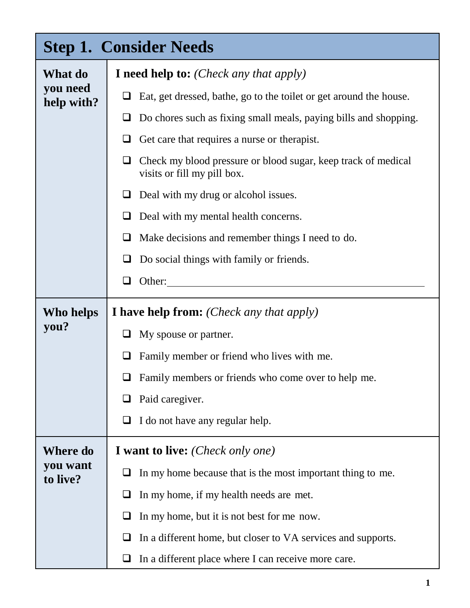| <b>Step 1. Consider Needs</b> |                                                                                              |  |  |  |  |  |
|-------------------------------|----------------------------------------------------------------------------------------------|--|--|--|--|--|
| What do                       | <b>I</b> need help to: ( <i>Check any that apply</i> )                                       |  |  |  |  |  |
| you need<br>help with?        | Eat, get dressed, bathe, go to the toilet or get around the house.                           |  |  |  |  |  |
|                               | Do chores such as fixing small meals, paying bills and shopping.<br>⊔                        |  |  |  |  |  |
|                               | Get care that requires a nurse or therapist.                                                 |  |  |  |  |  |
|                               | Check my blood pressure or blood sugar, keep track of medical<br>visits or fill my pill box. |  |  |  |  |  |
|                               | Deal with my drug or alcohol issues.                                                         |  |  |  |  |  |
|                               | Deal with my mental health concerns.                                                         |  |  |  |  |  |
|                               | Make decisions and remember things I need to do.                                             |  |  |  |  |  |
|                               | Do social things with family or friends.                                                     |  |  |  |  |  |
|                               | Other:<br>ப                                                                                  |  |  |  |  |  |
| Who helps                     | <b>I have help from:</b> ( <i>Check any that apply</i> )                                     |  |  |  |  |  |
| you?                          | My spouse or partner.                                                                        |  |  |  |  |  |
|                               | Family member or friend who lives with me.                                                   |  |  |  |  |  |
|                               | Family members or friends who come over to help me.<br>□                                     |  |  |  |  |  |
|                               | Paid caregiver.                                                                              |  |  |  |  |  |
|                               | I do not have any regular help.<br>⊔                                                         |  |  |  |  |  |
| <b>Where do</b>               | <b>I</b> want to live: ( <i>Check only one</i> )                                             |  |  |  |  |  |
| you want<br>to live?          | In my home because that is the most important thing to me.                                   |  |  |  |  |  |
|                               | In my home, if my health needs are met.<br>⊔                                                 |  |  |  |  |  |
|                               | In my home, but it is not best for me now.<br>⊔                                              |  |  |  |  |  |
|                               | In a different home, but closer to VA services and supports.                                 |  |  |  |  |  |
|                               | In a different place where I can receive more care.<br>⊔                                     |  |  |  |  |  |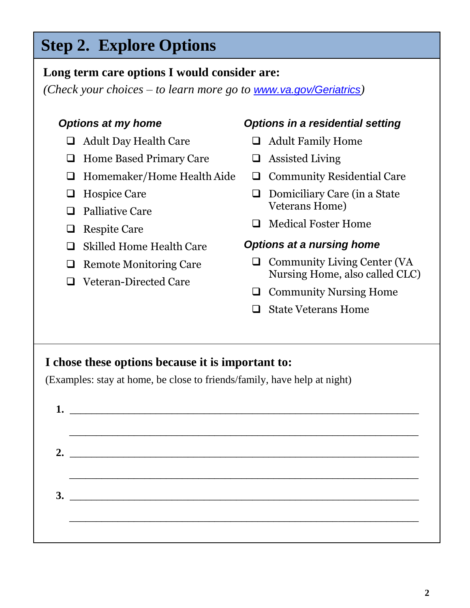# **Step 2. Explore Options**

# **Long term care options I would consider are:**

*(Check your choices – to learn more go to [www.va.gov/Geriatrics](https://www.va.gov/Geriatrics))*

# *Options at my home*

- Adult Day Health Care
- Home Based Primary Care
- □ Homemaker/Home Health Aide
- □ Hospice Care
- $\Box$  Palliative Care
- □ Respite Care
- □ Skilled Home Health Care
- $\Box$  Remote Monitoring Care
- □ Veteran-Directed Care

# *Options in a residential setting*

- Adult Family Home
- □ Assisted Living
- □ Community Residential Care
- $\Box$  Domiciliary Care (in a State Veterans Home)
- □ Medical Foster Home

# *Options at a nursing home*

- $\Box$  Community Living Center (VA Nursing Home, also called CLC)
- $\Box$  Community Nursing Home
- □ State Veterans Home

# **I chose these options because it is important to:**

(Examples: stay at home, be close to friends/family, have help at night)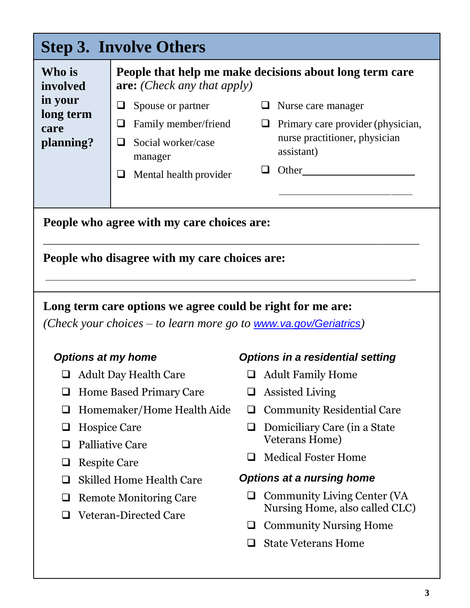#### **Step 3. Involve Others Who is involved in your long term care planning? People that help me make decisions about long term care are:** *(Check any that apply)* **Spouse or partner**  $\Box$  Family member/friend  $\Box$  Social worker/case manager  $\Box$  Mental health provider **Nurse care manager**  $\Box$  Primary care provider (physician, nurse practitioner, physician assistant) **Other** <u>Contract of</u> **Contract 2**

\_\_\_\_\_\_\_\_\_\_\_\_\_\_\_\_\_\_\_\_\_\_\_\_\_\_\_\_\_\_\_\_\_\_\_\_\_\_\_\_\_\_\_\_\_\_\_\_\_\_\_\_\_\_\_\_\_\_\_\_\_\_\_\_\_\_\_\_\_\_

**People who agree with my care choices are:**

**People who disagree with my care choices are:**

#### **Long term care options we agree could be right for me are:**

*(Check your choices – to learn more go to [www.va.gov/Geriatrics](https://www.va.gov/Geriatrics))*

## *Options at my home*

- Adult Day Health Care
- □ Home Based Primary Care
- $\Box$  Homemaker/Home Health Aide
- □ Hospice Care
- □ Palliative Care
- □ Respite Care
- □ Skilled Home Health Care
- $\Box$  Remote Monitoring Care
- □ Veteran-Directed Care

## *Options in a residential setting*

- Adult Family Home
- **Q** Assisted Living
	- **Q** Community Residential Care
	- □ Domiciliary Care (in a State Veterans Home)
	- □ Medical Foster Home

#### *Options at a nursing home*

- $\Box$  Community Living Center (VA Nursing Home, also called CLC)
- $\Box$  Community Nursing Home
- □ State Veterans Home

 $\overline{a}$